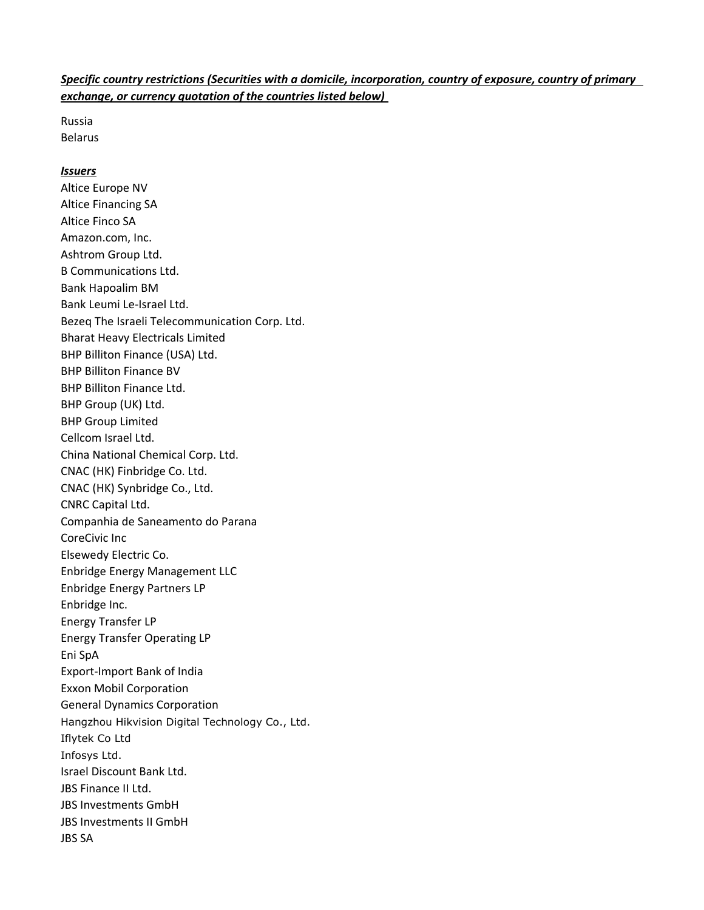## Specific country restrictions (Securities with a domicile, incorporation, country of exposure, country of primary exchange, or currency quotation of the countries listed below)

Russia Belarus

## Issuers

Altice Europe NV Altice Financing SA Altice Finco SA Amazon.com, Inc. Ashtrom Group Ltd. B Communications Ltd. Bank Hapoalim BM Bank Leumi Le-Israel Ltd. Bezeq The Israeli Telecommunication Corp. Ltd. Bharat Heavy Electricals Limited BHP Billiton Finance (USA) Ltd. BHP Billiton Finance BV BHP Billiton Finance Ltd. BHP Group (UK) Ltd. BHP Group Limited Cellcom Israel Ltd. China National Chemical Corp. Ltd. CNAC (HK) Finbridge Co. Ltd. CNAC (HK) Synbridge Co., Ltd. CNRC Capital Ltd. Companhia de Saneamento do Parana CoreCivic Inc Elsewedy Electric Co. Enbridge Energy Management LLC Enbridge Energy Partners LP Enbridge Inc. Energy Transfer LP Energy Transfer Operating LP Eni SpA Export-Import Bank of India Exxon Mobil Corporation General Dynamics Corporation Hangzhou Hikvision Digital Technology Co., Ltd. Iflytek Co Ltd Infosys Ltd. Israel Discount Bank Ltd. JBS Finance II Ltd. JBS Investments GmbH JBS Investments II GmbH JBS SA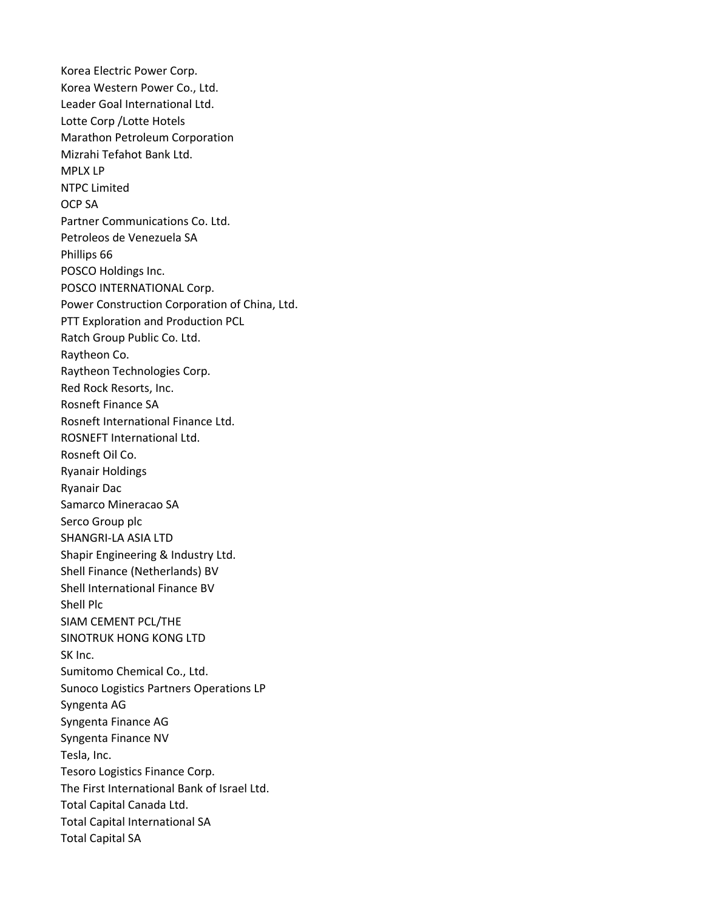Korea Electric Power Corp. Korea Western Power Co., Ltd. Leader Goal International Ltd. Lotte Corp /Lotte Hotels Marathon Petroleum Corporation Mizrahi Tefahot Bank Ltd. MPLX LP NTPC Limited OCP SA Partner Communications Co. Ltd. Petroleos de Venezuela SA Phillips 66 POSCO Holdings Inc. POSCO INTERNATIONAL Corp. Power Construction Corporation of China, Ltd. PTT Exploration and Production PCL Ratch Group Public Co. Ltd. Raytheon Co. Raytheon Technologies Corp. Red Rock Resorts, Inc. Rosneft Finance SA Rosneft International Finance Ltd. ROSNEFT International Ltd. Rosneft Oil Co. Ryanair Holdings Ryanair Dac Samarco Mineracao SA Serco Group plc SHANGRI-LA ASIA LTD Shapir Engineering & Industry Ltd. Shell Finance (Netherlands) BV Shell International Finance BV Shell Plc SIAM CEMENT PCL/THE SINOTRUK HONG KONG LTD SK Inc. Sumitomo Chemical Co., Ltd. Sunoco Logistics Partners Operations LP Syngenta AG Syngenta Finance AG Syngenta Finance NV Tesla, Inc. Tesoro Logistics Finance Corp. The First International Bank of Israel Ltd. Total Capital Canada Ltd. Total Capital International SA Total Capital SA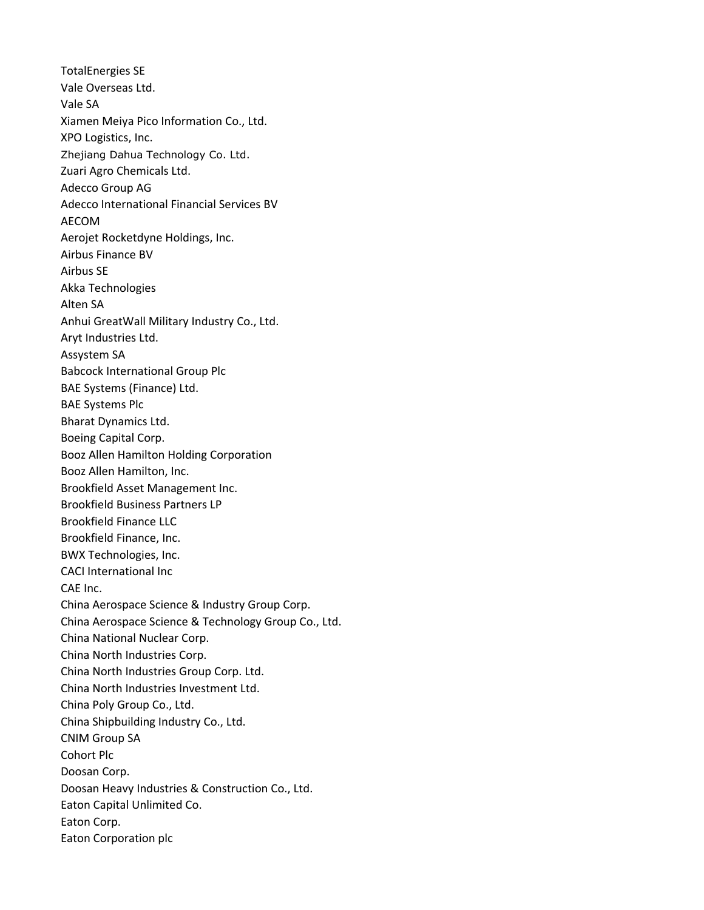TotalEnergies SE Vale Overseas Ltd. Vale SA Xiamen Meiya Pico Information Co., Ltd. XPO Logistics, Inc. Zhejiang Dahua Technology Co. Ltd. Zuari Agro Chemicals Ltd. Adecco Group AG Adecco International Financial Services BV AECOM Aerojet Rocketdyne Holdings, Inc. Airbus Finance BV Airbus SE Akka Technologies Alten SA Anhui GreatWall Military Industry Co., Ltd. Aryt Industries Ltd. Assystem SA Babcock International Group Plc BAE Systems (Finance) Ltd. BAE Systems Plc Bharat Dynamics Ltd. Boeing Capital Corp. Booz Allen Hamilton Holding Corporation Booz Allen Hamilton, Inc. Brookfield Asset Management Inc. Brookfield Business Partners LP Brookfield Finance LLC Brookfield Finance, Inc. BWX Technologies, Inc. CACI International Inc CAE Inc. China Aerospace Science & Industry Group Corp. China Aerospace Science & Technology Group Co., Ltd. China National Nuclear Corp. China North Industries Corp. China North Industries Group Corp. Ltd. China North Industries Investment Ltd. China Poly Group Co., Ltd. China Shipbuilding Industry Co., Ltd. CNIM Group SA Cohort Plc Doosan Corp. Doosan Heavy Industries & Construction Co., Ltd. Eaton Capital Unlimited Co. Eaton Corp. Eaton Corporation plc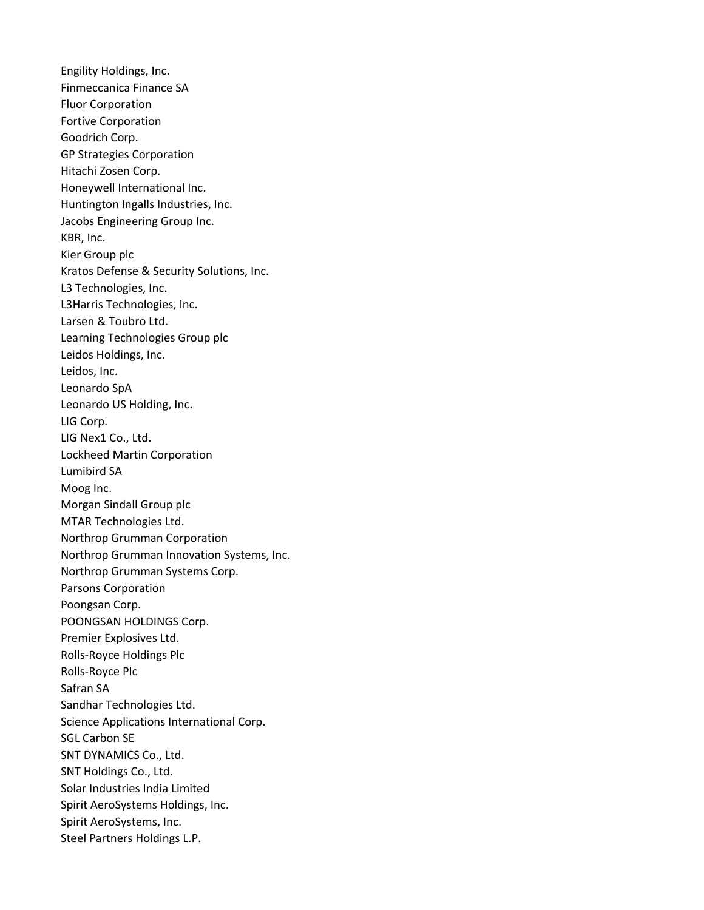Engility Holdings, Inc. Finmeccanica Finance SA Fluor Corporation Fortive Corporation Goodrich Corp. GP Strategies Corporation Hitachi Zosen Corp. Honeywell International Inc. Huntington Ingalls Industries, Inc. Jacobs Engineering Group Inc. KBR, Inc. Kier Group plc Kratos Defense & Security Solutions, Inc. L3 Technologies, Inc. L3Harris Technologies, Inc. Larsen & Toubro Ltd. Learning Technologies Group plc Leidos Holdings, Inc. Leidos, Inc. Leonardo SpA Leonardo US Holding, Inc. LIG Corp. LIG Nex1 Co., Ltd. Lockheed Martin Corporation Lumibird SA Moog Inc. Morgan Sindall Group plc MTAR Technologies Ltd. Northrop Grumman Corporation Northrop Grumman Innovation Systems, Inc. Northrop Grumman Systems Corp. Parsons Corporation Poongsan Corp. POONGSAN HOLDINGS Corp. Premier Explosives Ltd. Rolls-Royce Holdings Plc Rolls-Royce Plc Safran SA Sandhar Technologies Ltd. Science Applications International Corp. SGL Carbon SE SNT DYNAMICS Co., Ltd. SNT Holdings Co., Ltd. Solar Industries India Limited Spirit AeroSystems Holdings, Inc. Spirit AeroSystems, Inc. Steel Partners Holdings L.P.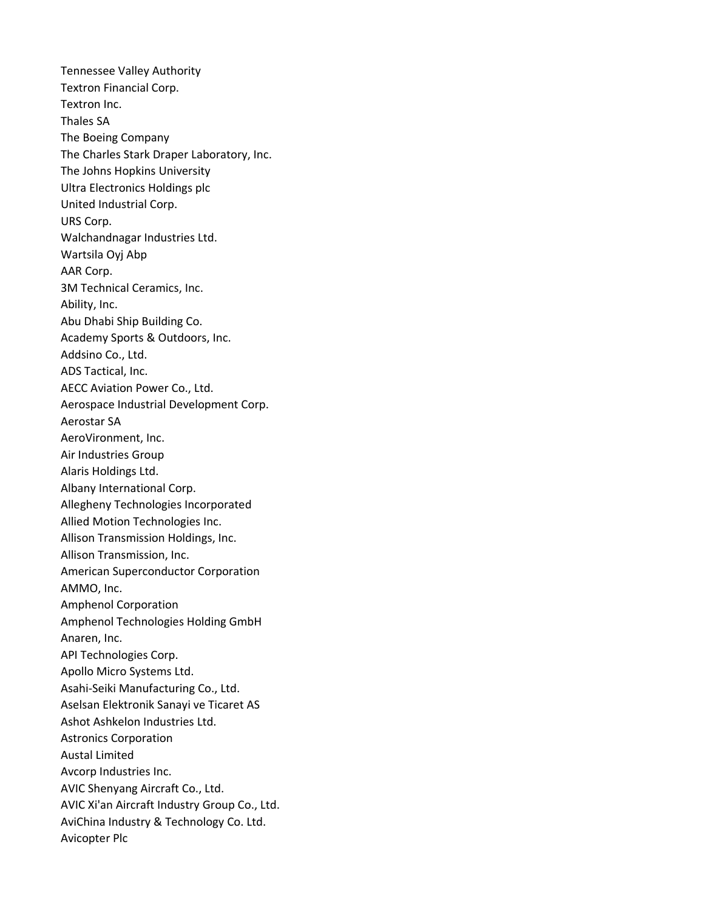Tennessee Valley Authority Textron Financial Corp. Textron Inc. Thales SA The Boeing Company The Charles Stark Draper Laboratory, Inc. The Johns Hopkins University Ultra Electronics Holdings plc United Industrial Corp. URS Corp. Walchandnagar Industries Ltd. Wartsila Oyj Abp AAR Corp. 3M Technical Ceramics, Inc. Ability, Inc. Abu Dhabi Ship Building Co. Academy Sports & Outdoors, Inc. Addsino Co., Ltd. ADS Tactical, Inc. AECC Aviation Power Co., Ltd. Aerospace Industrial Development Corp. Aerostar SA AeroVironment, Inc. Air Industries Group Alaris Holdings Ltd. Albany International Corp. Allegheny Technologies Incorporated Allied Motion Technologies Inc. Allison Transmission Holdings, Inc. Allison Transmission, Inc. American Superconductor Corporation AMMO, Inc. Amphenol Corporation Amphenol Technologies Holding GmbH Anaren, Inc. API Technologies Corp. Apollo Micro Systems Ltd. Asahi-Seiki Manufacturing Co., Ltd. Aselsan Elektronik Sanayi ve Ticaret AS Ashot Ashkelon Industries Ltd. Astronics Corporation Austal Limited Avcorp Industries Inc. AVIC Shenyang Aircraft Co., Ltd. AVIC Xi'an Aircraft Industry Group Co., Ltd. AviChina Industry & Technology Co. Ltd. Avicopter Plc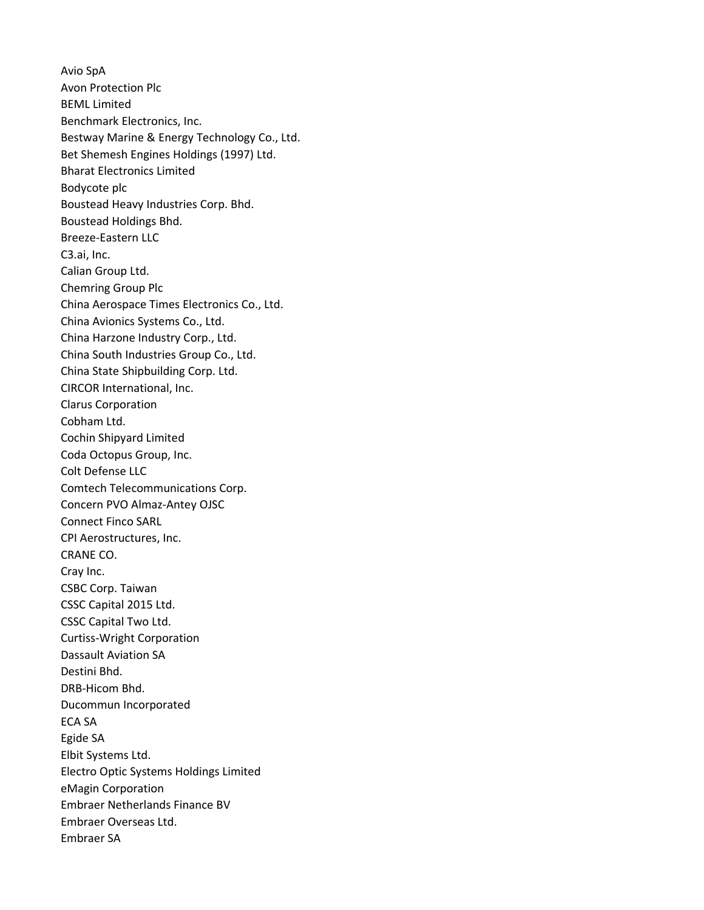Avio SpA Avon Protection Plc BEML Limited Benchmark Electronics, Inc. Bestway Marine & Energy Technology Co., Ltd. Bet Shemesh Engines Holdings (1997) Ltd. Bharat Electronics Limited Bodycote plc Boustead Heavy Industries Corp. Bhd. Boustead Holdings Bhd. Breeze-Eastern LLC C3.ai, Inc. Calian Group Ltd. Chemring Group Plc China Aerospace Times Electronics Co., Ltd. China Avionics Systems Co., Ltd. China Harzone Industry Corp., Ltd. China South Industries Group Co., Ltd. China State Shipbuilding Corp. Ltd. CIRCOR International, Inc. Clarus Corporation Cobham Ltd. Cochin Shipyard Limited Coda Octopus Group, Inc. Colt Defense LLC Comtech Telecommunications Corp. Concern PVO Almaz-Antey OJSC Connect Finco SARL CPI Aerostructures, Inc. CRANE CO. Cray Inc. CSBC Corp. Taiwan CSSC Capital 2015 Ltd. CSSC Capital Two Ltd. Curtiss-Wright Corporation Dassault Aviation SA Destini Bhd. DRB-Hicom Bhd. Ducommun Incorporated ECA SA Egide SA Elbit Systems Ltd. Electro Optic Systems Holdings Limited eMagin Corporation Embraer Netherlands Finance BV Embraer Overseas Ltd. Embraer SA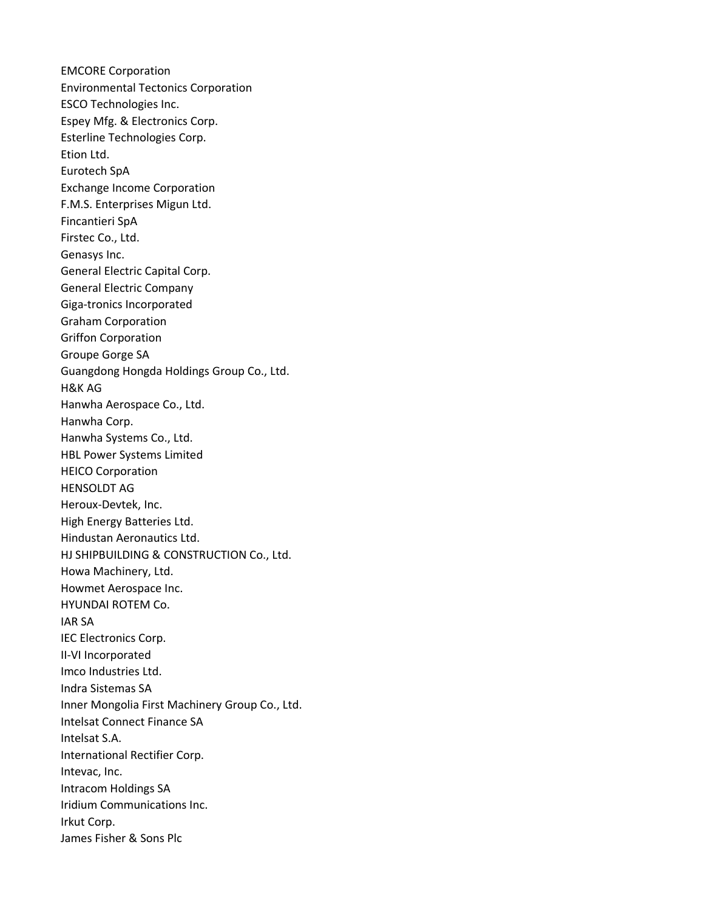EMCORE Corporation Environmental Tectonics Corporation ESCO Technologies Inc. Espey Mfg. & Electronics Corp. Esterline Technologies Corp. Etion Ltd. Eurotech SpA Exchange Income Corporation F.M.S. Enterprises Migun Ltd. Fincantieri SpA Firstec Co., Ltd. Genasys Inc. General Electric Capital Corp. General Electric Company Giga-tronics Incorporated Graham Corporation Griffon Corporation Groupe Gorge SA Guangdong Hongda Holdings Group Co., Ltd. H&K AG Hanwha Aerospace Co., Ltd. Hanwha Corp. Hanwha Systems Co., Ltd. HBL Power Systems Limited HEICO Corporation HENSOLDT AG Heroux-Devtek, Inc. High Energy Batteries Ltd. Hindustan Aeronautics Ltd. HJ SHIPBUILDING & CONSTRUCTION Co., Ltd. Howa Machinery, Ltd. Howmet Aerospace Inc. HYUNDAI ROTEM Co. IAR SA IEC Electronics Corp. II-VI Incorporated Imco Industries Ltd. Indra Sistemas SA Inner Mongolia First Machinery Group Co., Ltd. Intelsat Connect Finance SA Intelsat S.A. International Rectifier Corp. Intevac, Inc. Intracom Holdings SA Iridium Communications Inc. Irkut Corp. James Fisher & Sons Plc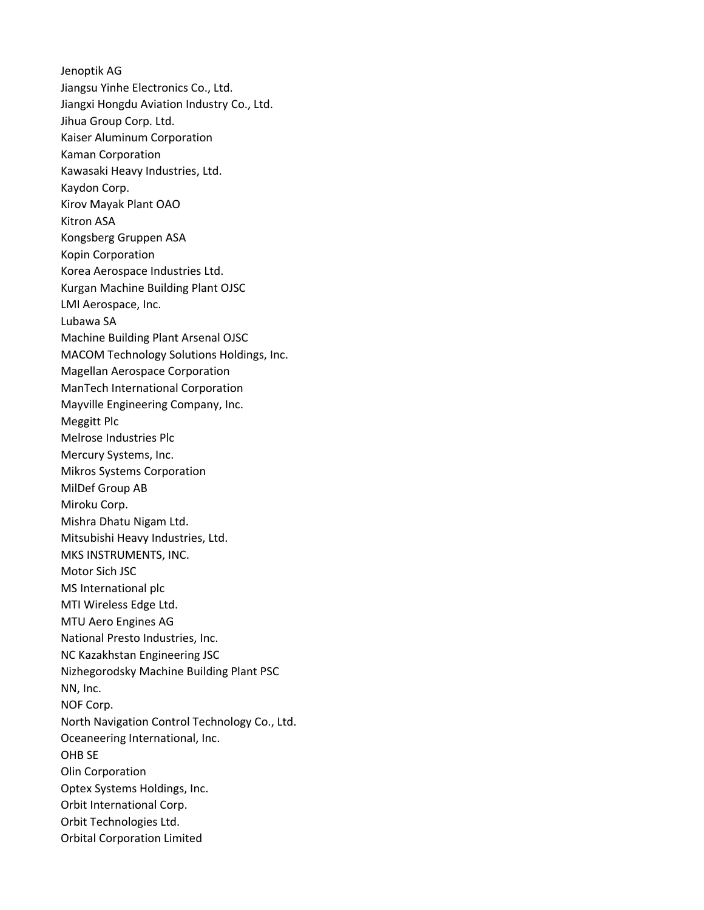Jenoptik AG Jiangsu Yinhe Electronics Co., Ltd. Jiangxi Hongdu Aviation Industry Co., Ltd. Jihua Group Corp. Ltd. Kaiser Aluminum Corporation Kaman Corporation Kawasaki Heavy Industries, Ltd. Kaydon Corp. Kirov Mayak Plant OAO Kitron ASA Kongsberg Gruppen ASA Kopin Corporation Korea Aerospace Industries Ltd. Kurgan Machine Building Plant OJSC LMI Aerospace, Inc. Lubawa SA Machine Building Plant Arsenal OJSC MACOM Technology Solutions Holdings, Inc. Magellan Aerospace Corporation ManTech International Corporation Mayville Engineering Company, Inc. Meggitt Plc Melrose Industries Plc Mercury Systems, Inc. Mikros Systems Corporation MilDef Group AB Miroku Corp. Mishra Dhatu Nigam Ltd. Mitsubishi Heavy Industries, Ltd. MKS INSTRUMENTS, INC. Motor Sich JSC MS International plc MTI Wireless Edge Ltd. MTU Aero Engines AG National Presto Industries, Inc. NC Kazakhstan Engineering JSC Nizhegorodsky Machine Building Plant PSC NN, Inc. NOF Corp. North Navigation Control Technology Co., Ltd. Oceaneering International, Inc. OHB SE Olin Corporation Optex Systems Holdings, Inc. Orbit International Corp. Orbit Technologies Ltd. Orbital Corporation Limited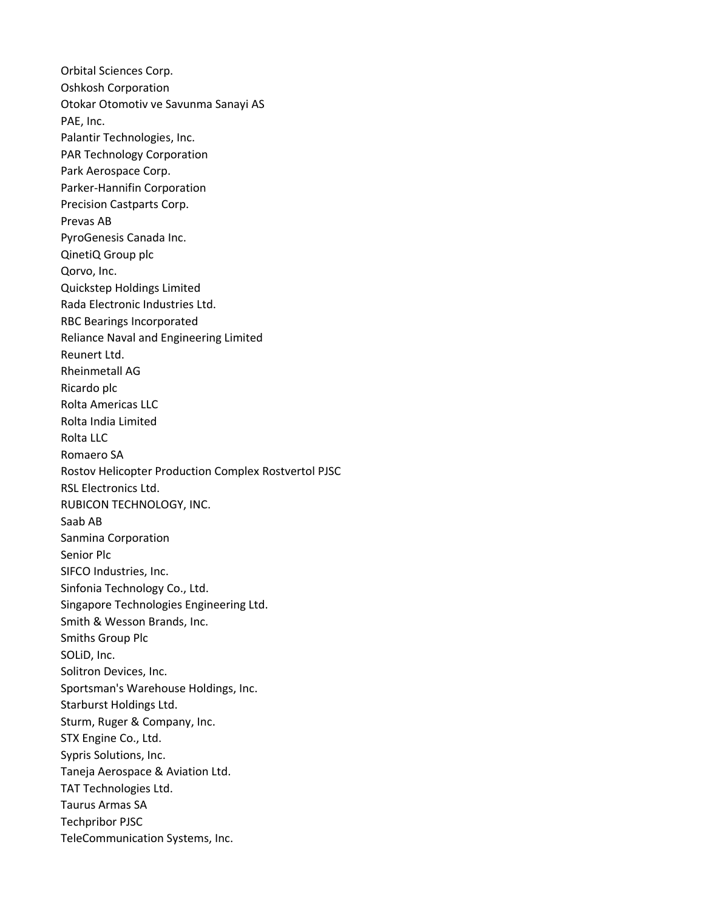Orbital Sciences Corp. Oshkosh Corporation Otokar Otomotiv ve Savunma Sanayi AS PAE, Inc. Palantir Technologies, Inc. PAR Technology Corporation Park Aerospace Corp. Parker-Hannifin Corporation Precision Castparts Corp. Prevas AB PyroGenesis Canada Inc. QinetiQ Group plc Qorvo, Inc. Quickstep Holdings Limited Rada Electronic Industries Ltd. RBC Bearings Incorporated Reliance Naval and Engineering Limited Reunert Ltd. Rheinmetall AG Ricardo plc Rolta Americas LLC Rolta India Limited Rolta LLC Romaero SA Rostov Helicopter Production Complex Rostvertol PJSC RSL Electronics Ltd. RUBICON TECHNOLOGY, INC. Saab AB Sanmina Corporation Senior Plc SIFCO Industries, Inc. Sinfonia Technology Co., Ltd. Singapore Technologies Engineering Ltd. Smith & Wesson Brands, Inc. Smiths Group Plc SOLiD, Inc. Solitron Devices, Inc. Sportsman's Warehouse Holdings, Inc. Starburst Holdings Ltd. Sturm, Ruger & Company, Inc. STX Engine Co., Ltd. Sypris Solutions, Inc. Taneja Aerospace & Aviation Ltd. TAT Technologies Ltd. Taurus Armas SA Techpribor PJSC TeleCommunication Systems, Inc.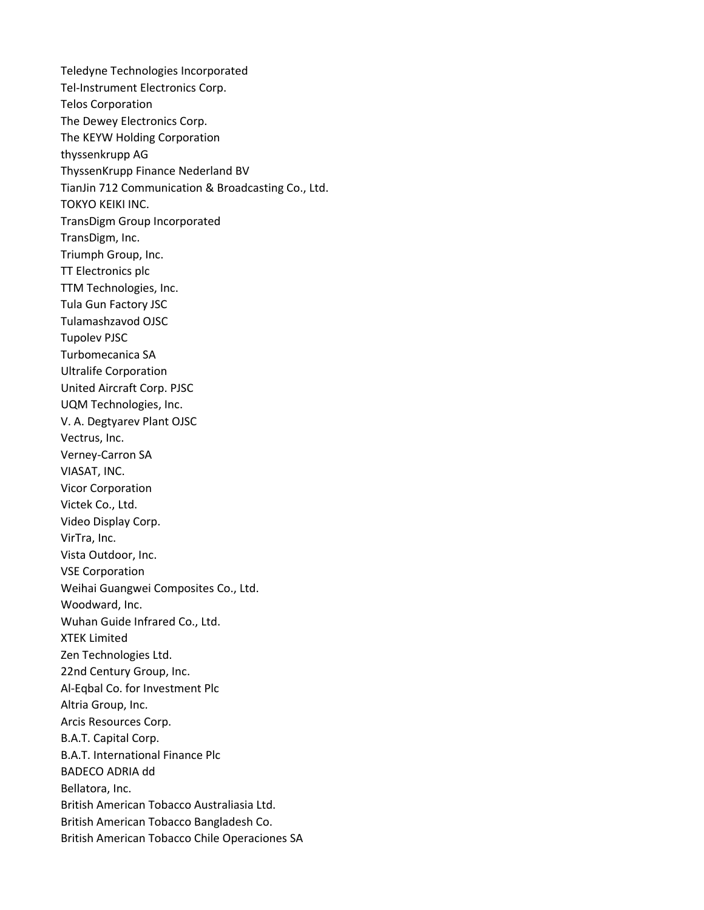Teledyne Technologies Incorporated Tel-Instrument Electronics Corp. Telos Corporation The Dewey Electronics Corp. The KEYW Holding Corporation thyssenkrupp AG ThyssenKrupp Finance Nederland BV TianJin 712 Communication & Broadcasting Co., Ltd. TOKYO KEIKI INC. TransDigm Group Incorporated TransDigm, Inc. Triumph Group, Inc. TT Electronics plc TTM Technologies, Inc. Tula Gun Factory JSC Tulamashzavod OJSC Tupolev PJSC Turbomecanica SA Ultralife Corporation United Aircraft Corp. PJSC UQM Technologies, Inc. V. A. Degtyarev Plant OJSC Vectrus, Inc. Verney-Carron SA VIASAT, INC. Vicor Corporation Victek Co., Ltd. Video Display Corp. VirTra, Inc. Vista Outdoor, Inc. VSE Corporation Weihai Guangwei Composites Co., Ltd. Woodward, Inc. Wuhan Guide Infrared Co., Ltd. XTEK Limited Zen Technologies Ltd. 22nd Century Group, Inc. Al-Eqbal Co. for Investment Plc Altria Group, Inc. Arcis Resources Corp. B.A.T. Capital Corp. B.A.T. International Finance Plc BADECO ADRIA dd Bellatora, Inc. British American Tobacco Australiasia Ltd. British American Tobacco Bangladesh Co. British American Tobacco Chile Operaciones SA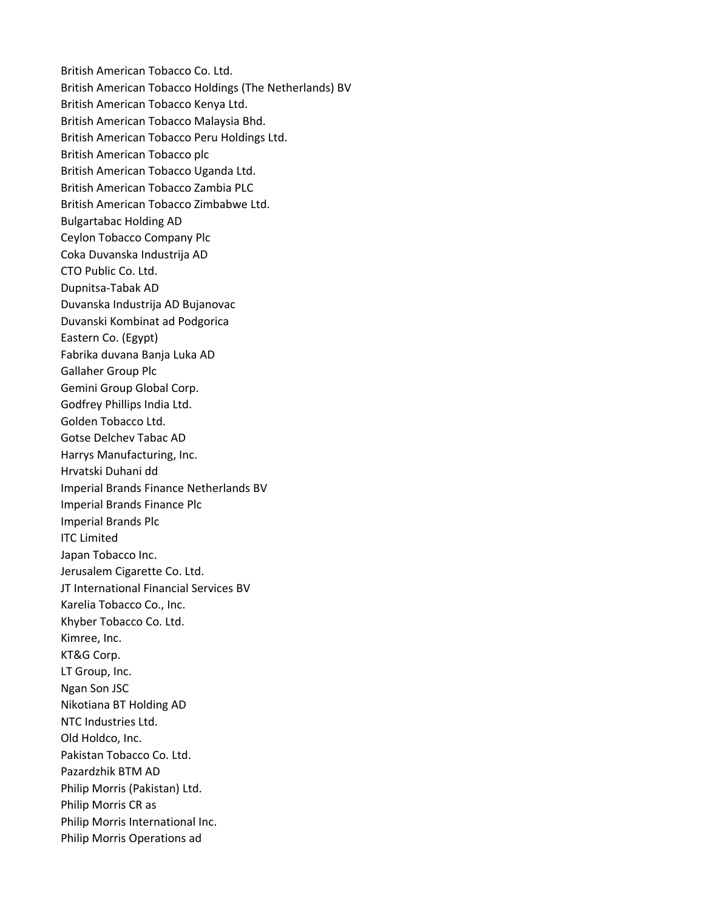British American Tobacco Co. Ltd. British American Tobacco Holdings (The Netherlands) BV British American Tobacco Kenya Ltd. British American Tobacco Malaysia Bhd. British American Tobacco Peru Holdings Ltd. British American Tobacco plc British American Tobacco Uganda Ltd. British American Tobacco Zambia PLC British American Tobacco Zimbabwe Ltd. Bulgartabac Holding AD Ceylon Tobacco Company Plc Coka Duvanska Industrija AD CTO Public Co. Ltd. Dupnitsa-Tabak AD Duvanska Industrija AD Bujanovac Duvanski Kombinat ad Podgorica Eastern Co. (Egypt) Fabrika duvana Banja Luka AD Gallaher Group Plc Gemini Group Global Corp. Godfrey Phillips India Ltd. Golden Tobacco Ltd. Gotse Delchev Tabac AD Harrys Manufacturing, Inc. Hrvatski Duhani dd Imperial Brands Finance Netherlands BV Imperial Brands Finance Plc Imperial Brands Plc ITC Limited Japan Tobacco Inc. Jerusalem Cigarette Co. Ltd. JT International Financial Services BV Karelia Tobacco Co., Inc. Khyber Tobacco Co. Ltd. Kimree, Inc. KT&G Corp. LT Group, Inc. Ngan Son JSC Nikotiana BT Holding AD NTC Industries Ltd. Old Holdco, Inc. Pakistan Tobacco Co. Ltd. Pazardzhik BTM AD Philip Morris (Pakistan) Ltd. Philip Morris CR as Philip Morris International Inc. Philip Morris Operations ad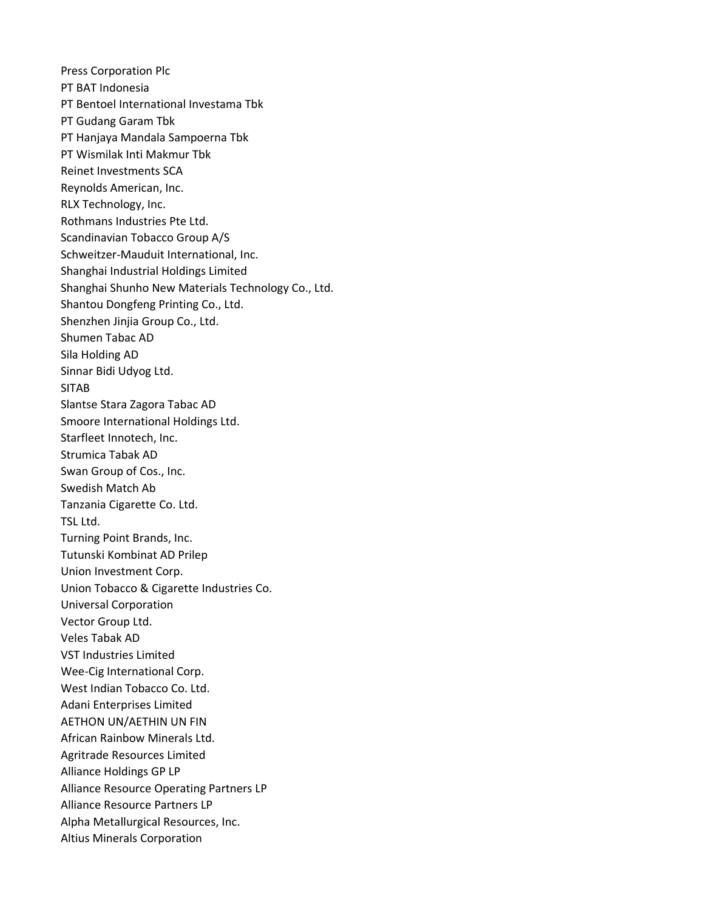Press Corporation Plc PT BAT Indonesia PT Bentoel International Investama Tbk PT Gudang Garam Tbk PT Hanjaya Mandala Sampoerna Tbk PT Wismilak Inti Makmur Tbk Reinet Investments SCA Reynolds American, Inc. RLX Technology, Inc. Rothmans Industries Pte Ltd. Scandinavian Tobacco Group A/S Schweitzer-Mauduit International, Inc. Shanghai Industrial Holdings Limited Shanghai Shunho New Materials Technology Co., Ltd. Shantou Dongfeng Printing Co., Ltd. Shenzhen Jinjia Group Co., Ltd. Shumen Tabac AD Sila Holding AD Sinnar Bidi Udyog Ltd. SITAB Slantse Stara Zagora Tabac AD Smoore International Holdings Ltd. Starfleet Innotech, Inc. Strumica Tabak AD Swan Group of Cos., Inc. Swedish Match Ab Tanzania Cigarette Co. Ltd. TSL Ltd. Turning Point Brands, Inc. Tutunski Kombinat AD Prilep Union Investment Corp. Union Tobacco & Cigarette Industries Co. Universal Corporation Vector Group Ltd. Veles Tabak AD VST Industries Limited Wee-Cig International Corp. West Indian Tobacco Co. Ltd. Adani Enterprises Limited AETHON UN/AETHIN UN FIN African Rainbow Minerals Ltd. Agritrade Resources Limited Alliance Holdings GP LP Alliance Resource Operating Partners LP Alliance Resource Partners LP Alpha Metallurgical Resources, Inc. Altius Minerals Corporation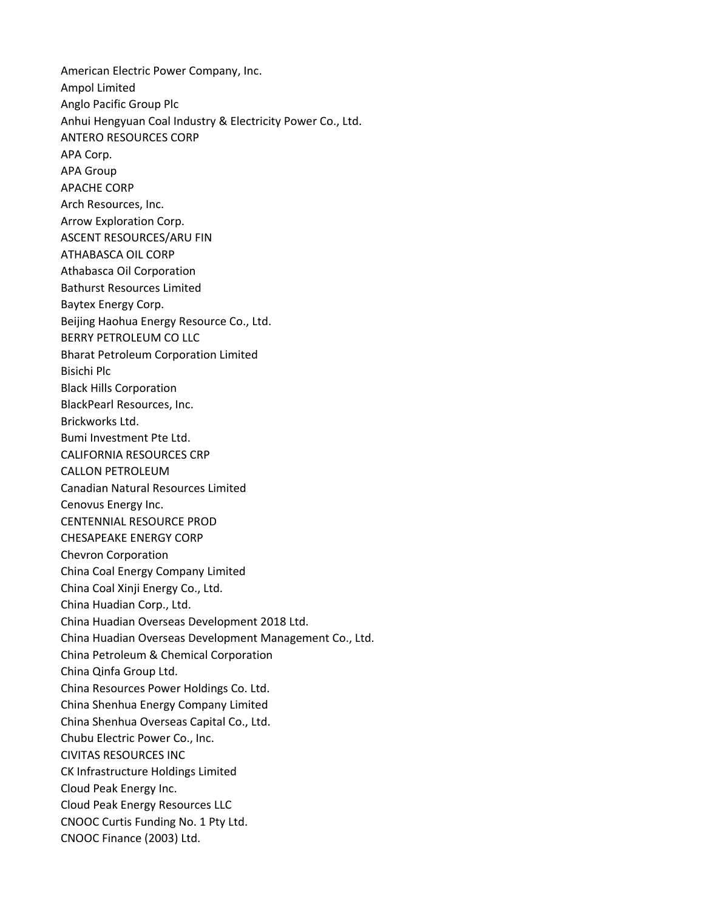American Electric Power Company, Inc. Ampol Limited Anglo Pacific Group Plc Anhui Hengyuan Coal Industry & Electricity Power Co., Ltd. ANTERO RESOURCES CORP APA Corp. APA Group APACHE CORP Arch Resources, Inc. Arrow Exploration Corp. ASCENT RESOURCES/ARU FIN ATHABASCA OIL CORP Athabasca Oil Corporation Bathurst Resources Limited Baytex Energy Corp. Beijing Haohua Energy Resource Co., Ltd. BERRY PETROLEUM CO LLC Bharat Petroleum Corporation Limited Bisichi Plc Black Hills Corporation BlackPearl Resources, Inc. Brickworks Ltd. Bumi Investment Pte Ltd. CALIFORNIA RESOURCES CRP CALLON PETROLEUM Canadian Natural Resources Limited Cenovus Energy Inc. CENTENNIAL RESOURCE PROD CHESAPEAKE ENERGY CORP Chevron Corporation China Coal Energy Company Limited China Coal Xinji Energy Co., Ltd. China Huadian Corp., Ltd. China Huadian Overseas Development 2018 Ltd. China Huadian Overseas Development Management Co., Ltd. China Petroleum & Chemical Corporation China Qinfa Group Ltd. China Resources Power Holdings Co. Ltd. China Shenhua Energy Company Limited China Shenhua Overseas Capital Co., Ltd. Chubu Electric Power Co., Inc. CIVITAS RESOURCES INC CK Infrastructure Holdings Limited Cloud Peak Energy Inc. Cloud Peak Energy Resources LLC CNOOC Curtis Funding No. 1 Pty Ltd. CNOOC Finance (2003) Ltd.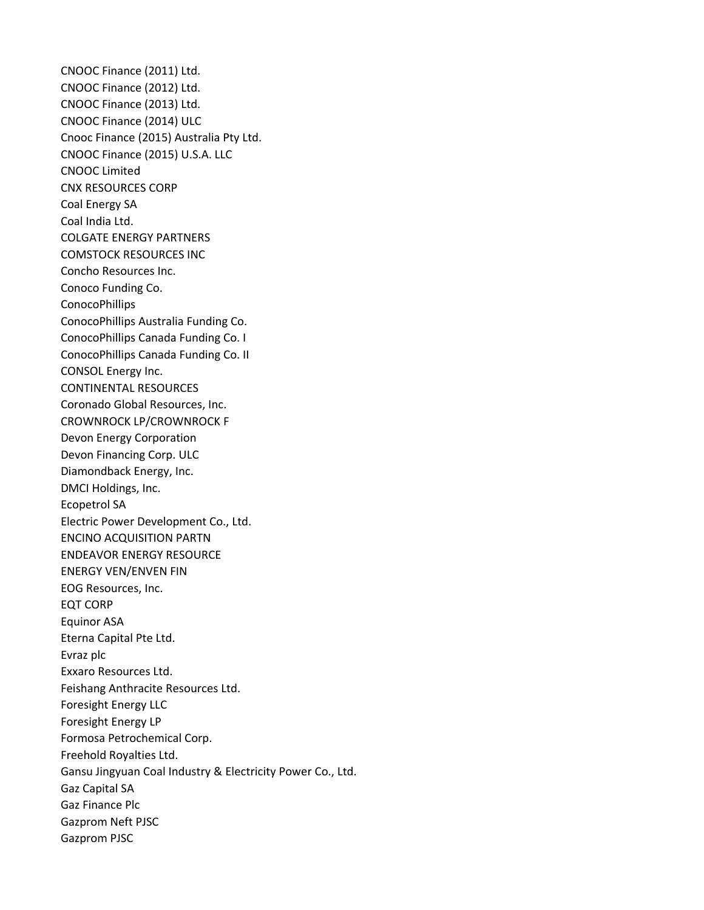CNOOC Finance (2011) Ltd. CNOOC Finance (2012) Ltd. CNOOC Finance (2013) Ltd. CNOOC Finance (2014) ULC Cnooc Finance (2015) Australia Pty Ltd. CNOOC Finance (2015) U.S.A. LLC CNOOC Limited CNX RESOURCES CORP Coal Energy SA Coal India Ltd. COLGATE ENERGY PARTNERS COMSTOCK RESOURCES INC Concho Resources Inc. Conoco Funding Co. ConocoPhillips ConocoPhillips Australia Funding Co. ConocoPhillips Canada Funding Co. I ConocoPhillips Canada Funding Co. II CONSOL Energy Inc. CONTINENTAL RESOURCES Coronado Global Resources, Inc. CROWNROCK LP/CROWNROCK F Devon Energy Corporation Devon Financing Corp. ULC Diamondback Energy, Inc. DMCI Holdings, Inc. Ecopetrol SA Electric Power Development Co., Ltd. ENCINO ACQUISITION PARTN ENDEAVOR ENERGY RESOURCE ENERGY VEN/ENVEN FIN EOG Resources, Inc. EQT CORP Equinor ASA Eterna Capital Pte Ltd. Evraz plc Exxaro Resources Ltd. Feishang Anthracite Resources Ltd. Foresight Energy LLC Foresight Energy LP Formosa Petrochemical Corp. Freehold Royalties Ltd. Gansu Jingyuan Coal Industry & Electricity Power Co., Ltd. Gaz Capital SA Gaz Finance Plc Gazprom Neft PJSC Gazprom PJSC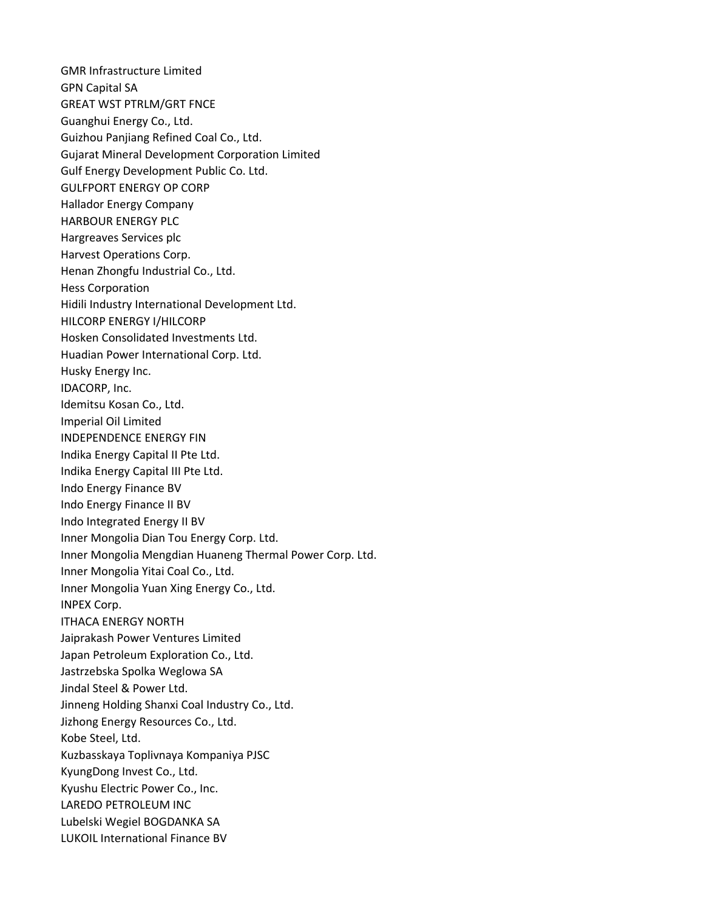GMR Infrastructure Limited GPN Capital SA GREAT WST PTRLM/GRT FNCE Guanghui Energy Co., Ltd. Guizhou Panjiang Refined Coal Co., Ltd. Gujarat Mineral Development Corporation Limited Gulf Energy Development Public Co. Ltd. GULFPORT ENERGY OP CORP Hallador Energy Company HARBOUR ENERGY PLC Hargreaves Services plc Harvest Operations Corp. Henan Zhongfu Industrial Co., Ltd. Hess Corporation Hidili Industry International Development Ltd. HILCORP ENERGY I/HILCORP Hosken Consolidated Investments Ltd. Huadian Power International Corp. Ltd. Husky Energy Inc. IDACORP, Inc. Idemitsu Kosan Co., Ltd. Imperial Oil Limited INDEPENDENCE ENERGY FIN Indika Energy Capital II Pte Ltd. Indika Energy Capital III Pte Ltd. Indo Energy Finance BV Indo Energy Finance II BV Indo Integrated Energy II BV Inner Mongolia Dian Tou Energy Corp. Ltd. Inner Mongolia Mengdian Huaneng Thermal Power Corp. Ltd. Inner Mongolia Yitai Coal Co., Ltd. Inner Mongolia Yuan Xing Energy Co., Ltd. INPEX Corp. ITHACA ENERGY NORTH Jaiprakash Power Ventures Limited Japan Petroleum Exploration Co., Ltd. Jastrzebska Spolka Weglowa SA Jindal Steel & Power Ltd. Jinneng Holding Shanxi Coal Industry Co., Ltd. Jizhong Energy Resources Co., Ltd. Kobe Steel, Ltd. Kuzbasskaya Toplivnaya Kompaniya PJSC KyungDong Invest Co., Ltd. Kyushu Electric Power Co., Inc. LAREDO PETROLEUM INC Lubelski Wegiel BOGDANKA SA LUKOIL International Finance BV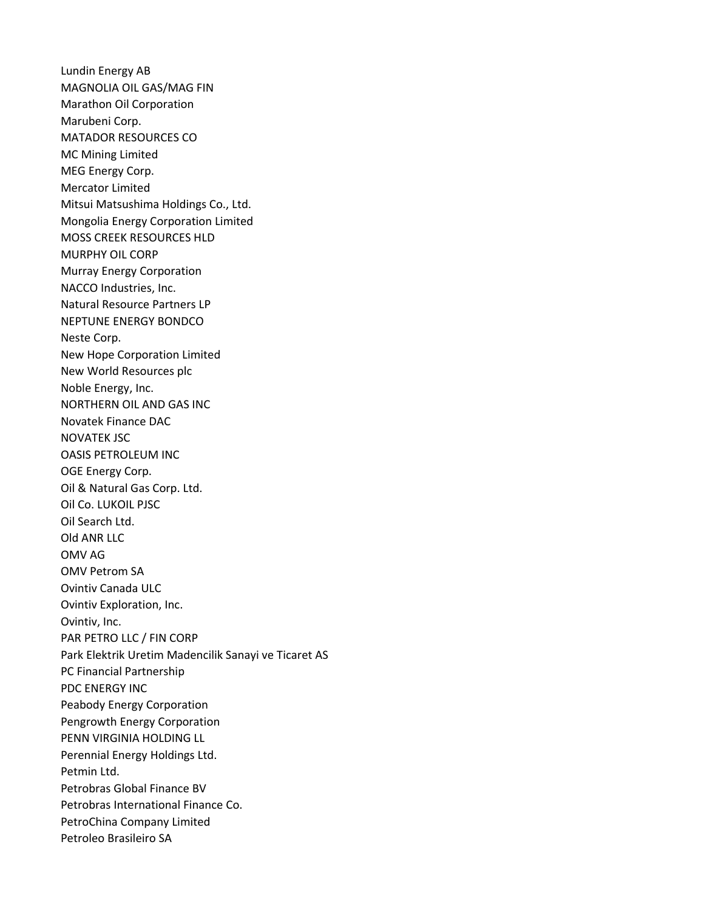Lundin Energy AB MAGNOLIA OIL GAS/MAG FIN Marathon Oil Corporation Marubeni Corp. MATADOR RESOURCES CO MC Mining Limited MEG Energy Corp. Mercator Limited Mitsui Matsushima Holdings Co., Ltd. Mongolia Energy Corporation Limited MOSS CREEK RESOURCES HLD MURPHY OIL CORP Murray Energy Corporation NACCO Industries, Inc. Natural Resource Partners LP NEPTUNE ENERGY BONDCO Neste Corp. New Hope Corporation Limited New World Resources plc Noble Energy, Inc. NORTHERN OIL AND GAS INC Novatek Finance DAC NOVATEK JSC OASIS PETROLEUM INC OGE Energy Corp. Oil & Natural Gas Corp. Ltd. Oil Co. LUKOIL PJSC Oil Search Ltd. Old ANR LLC OMV AG OMV Petrom SA Ovintiv Canada ULC Ovintiv Exploration, Inc. Ovintiv, Inc. PAR PETRO LLC / FIN CORP Park Elektrik Uretim Madencilik Sanayi ve Ticaret AS PC Financial Partnership PDC ENERGY INC Peabody Energy Corporation Pengrowth Energy Corporation PENN VIRGINIA HOLDING LL Perennial Energy Holdings Ltd. Petmin Ltd. Petrobras Global Finance BV Petrobras International Finance Co. PetroChina Company Limited Petroleo Brasileiro SA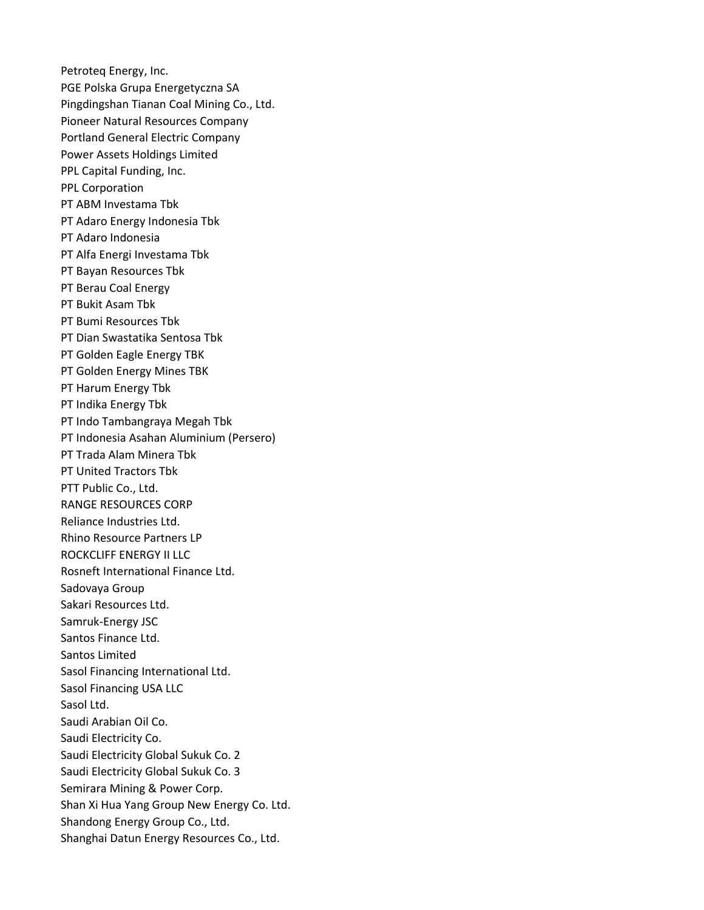Petroteq Energy, Inc. PGE Polska Grupa Energetyczna SA Pingdingshan Tianan Coal Mining Co., Ltd. Pioneer Natural Resources Company Portland General Electric Company Power Assets Holdings Limited PPL Capital Funding, Inc. PPL Corporation PT ABM Investama Tbk PT Adaro Energy Indonesia Tbk PT Adaro Indonesia PT Alfa Energi Investama Tbk PT Bayan Resources Tbk PT Berau Coal Energy PT Bukit Asam Tbk PT Bumi Resources Tbk PT Dian Swastatika Sentosa Tbk PT Golden Eagle Energy TBK PT Golden Energy Mines TBK PT Harum Energy Tbk PT Indika Energy Tbk PT Indo Tambangraya Megah Tbk PT Indonesia Asahan Aluminium (Persero) PT Trada Alam Minera Tbk PT United Tractors Tbk PTT Public Co., Ltd. RANGE RESOURCES CORP Reliance Industries Ltd. Rhino Resource Partners LP ROCKCLIFF ENERGY II LLC Rosneft International Finance Ltd. Sadovaya Group Sakari Resources Ltd. Samruk-Energy JSC Santos Finance Ltd. Santos Limited Sasol Financing International Ltd. Sasol Financing USA LLC Sasol Ltd. Saudi Arabian Oil Co. Saudi Electricity Co. Saudi Electricity Global Sukuk Co. 2 Saudi Electricity Global Sukuk Co. 3 Semirara Mining & Power Corp. Shan Xi Hua Yang Group New Energy Co. Ltd. Shandong Energy Group Co., Ltd. Shanghai Datun Energy Resources Co., Ltd.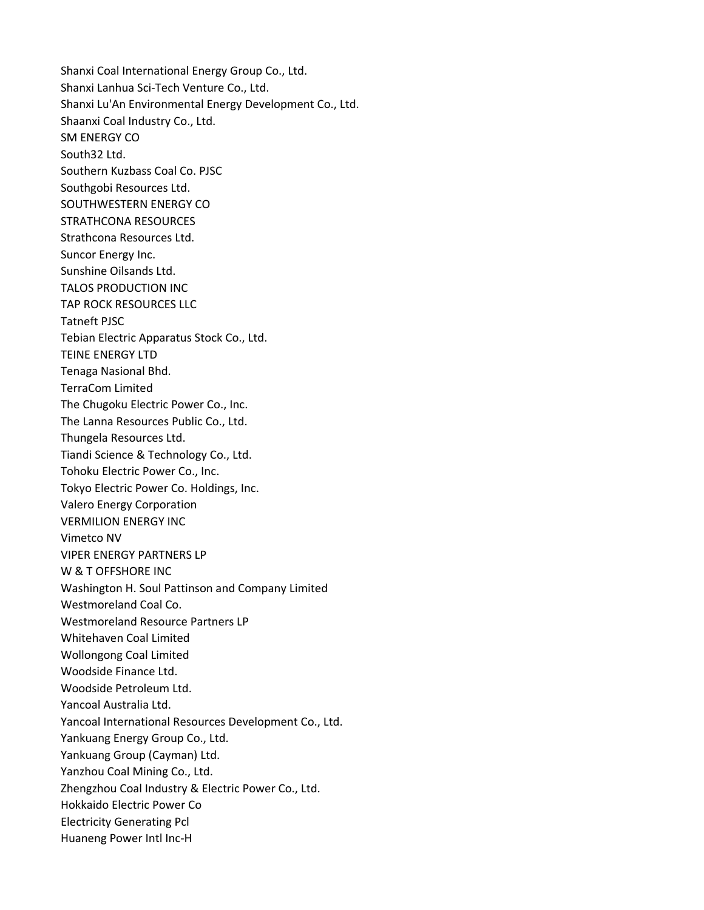Shanxi Coal International Energy Group Co., Ltd. Shanxi Lanhua Sci-Tech Venture Co., Ltd. Shanxi Lu'An Environmental Energy Development Co., Ltd. Shaanxi Coal Industry Co., Ltd. SM ENERGY CO South32 Ltd. Southern Kuzbass Coal Co. PJSC Southgobi Resources Ltd. SOUTHWESTERN ENERGY CO STRATHCONA RESOURCES Strathcona Resources Ltd. Suncor Energy Inc. Sunshine Oilsands Ltd. TALOS PRODUCTION INC TAP ROCK RESOURCES LLC Tatneft PJSC Tebian Electric Apparatus Stock Co., Ltd. TEINE ENERGY LTD Tenaga Nasional Bhd. TerraCom Limited The Chugoku Electric Power Co., Inc. The Lanna Resources Public Co., Ltd. Thungela Resources Ltd. Tiandi Science & Technology Co., Ltd. Tohoku Electric Power Co., Inc. Tokyo Electric Power Co. Holdings, Inc. Valero Energy Corporation VERMILION ENERGY INC Vimetco NV VIPER ENERGY PARTNERS LP W & T OFFSHORE INC Washington H. Soul Pattinson and Company Limited Westmoreland Coal Co. Westmoreland Resource Partners LP Whitehaven Coal Limited Wollongong Coal Limited Woodside Finance Ltd. Woodside Petroleum Ltd. Yancoal Australia Ltd. Yancoal International Resources Development Co., Ltd. Yankuang Energy Group Co., Ltd. Yankuang Group (Cayman) Ltd. Yanzhou Coal Mining Co., Ltd. Zhengzhou Coal Industry & Electric Power Co., Ltd. Hokkaido Electric Power Co Electricity Generating Pcl Huaneng Power Intl Inc-H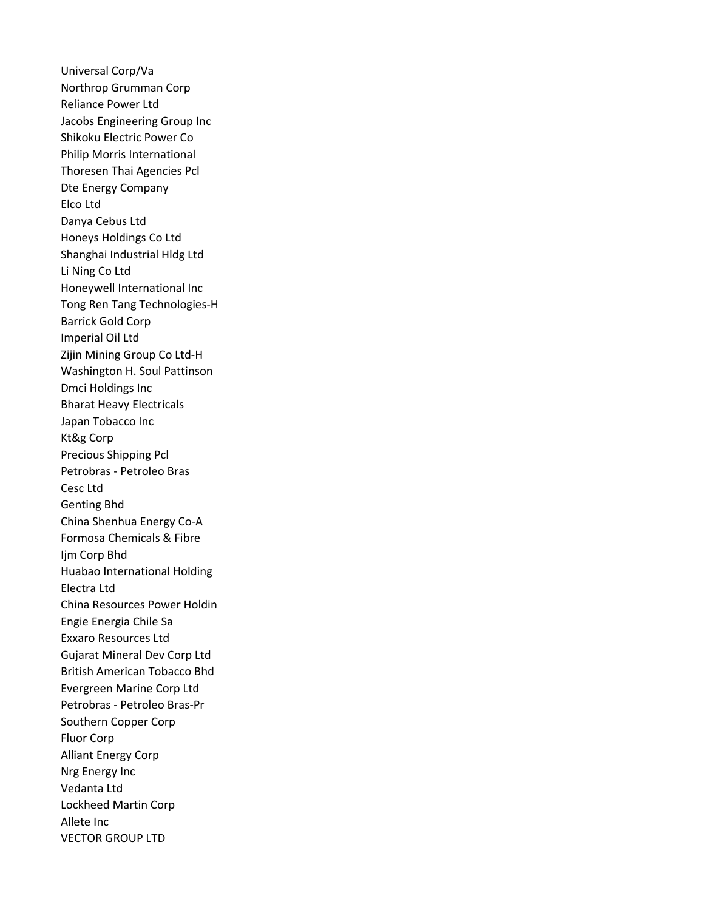Universal Corp/Va Northrop Grumman Corp Reliance Power Ltd Jacobs Engineering Group Inc Shikoku Electric Power Co Philip Morris International Thoresen Thai Agencies Pcl Dte Energy Company Elco Ltd Danya Cebus Ltd Honeys Holdings Co Ltd Shanghai Industrial Hldg Ltd Li Ning Co Ltd Honeywell International Inc Tong Ren Tang Technologies-H Barrick Gold Corp Imperial Oil Ltd Zijin Mining Group Co Ltd-H Washington H. Soul Pattinson Dmci Holdings Inc Bharat Heavy Electricals Japan Tobacco Inc Kt&g Corp Precious Shipping Pcl Petrobras - Petroleo Bras Cesc Ltd Genting Bhd China Shenhua Energy Co-A Formosa Chemicals & Fibre Ijm Corp Bhd Huabao International Holding Electra Ltd China Resources Power Holdin Engie Energia Chile Sa Exxaro Resources Ltd Gujarat Mineral Dev Corp Ltd British American Tobacco Bhd Evergreen Marine Corp Ltd Petrobras - Petroleo Bras-Pr Southern Copper Corp Fluor Corp Alliant Energy Corp Nrg Energy Inc Vedanta Ltd Lockheed Martin Corp Allete Inc VECTOR GROUP LTD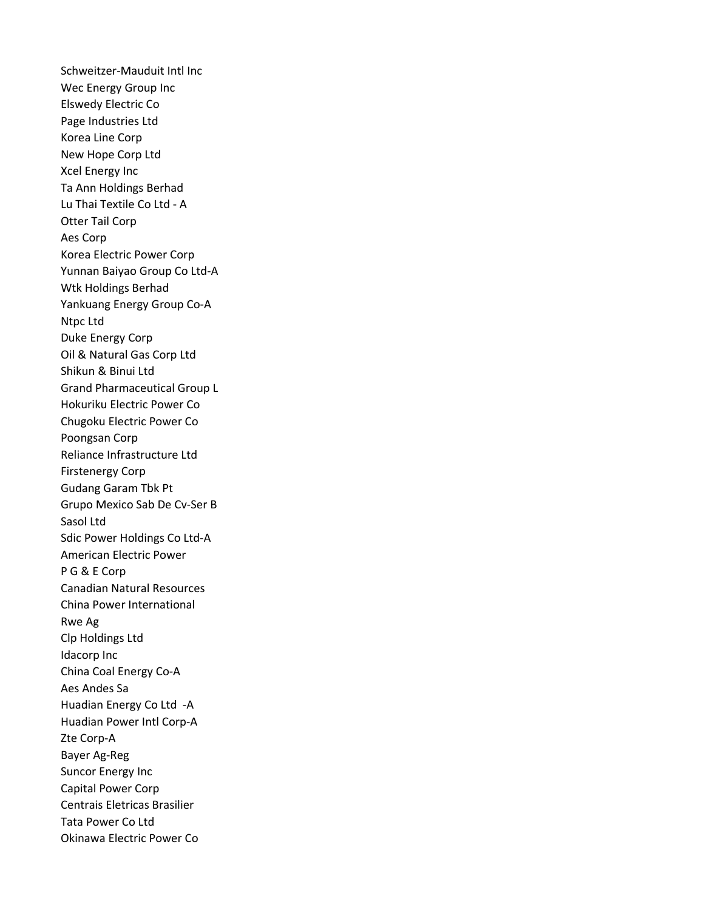Schweitzer-Mauduit Intl Inc Wec Energy Group Inc Elswedy Electric Co Page Industries Ltd Korea Line Corp New Hope Corp Ltd Xcel Energy Inc Ta Ann Holdings Berhad Lu Thai Textile Co Ltd - A Otter Tail Corp Aes Corp Korea Electric Power Corp Yunnan Baiyao Group Co Ltd-A Wtk Holdings Berhad Yankuang Energy Group Co-A Ntpc Ltd Duke Energy Corp Oil & Natural Gas Corp Ltd Shikun & Binui Ltd Grand Pharmaceutical Group L Hokuriku Electric Power Co Chugoku Electric Power Co Poongsan Corp Reliance Infrastructure Ltd Firstenergy Corp Gudang Garam Tbk Pt Grupo Mexico Sab De Cv-Ser B Sasol Ltd Sdic Power Holdings Co Ltd-A American Electric Power P G & E Corp Canadian Natural Resources China Power International Rwe Ag Clp Holdings Ltd Idacorp Inc China Coal Energy Co-A Aes Andes Sa Huadian Energy Co Ltd -A Huadian Power Intl Corp-A Zte Corp-A Bayer Ag-Reg Suncor Energy Inc Capital Power Corp Centrais Eletricas Brasilier Tata Power Co Ltd Okinawa Electric Power Co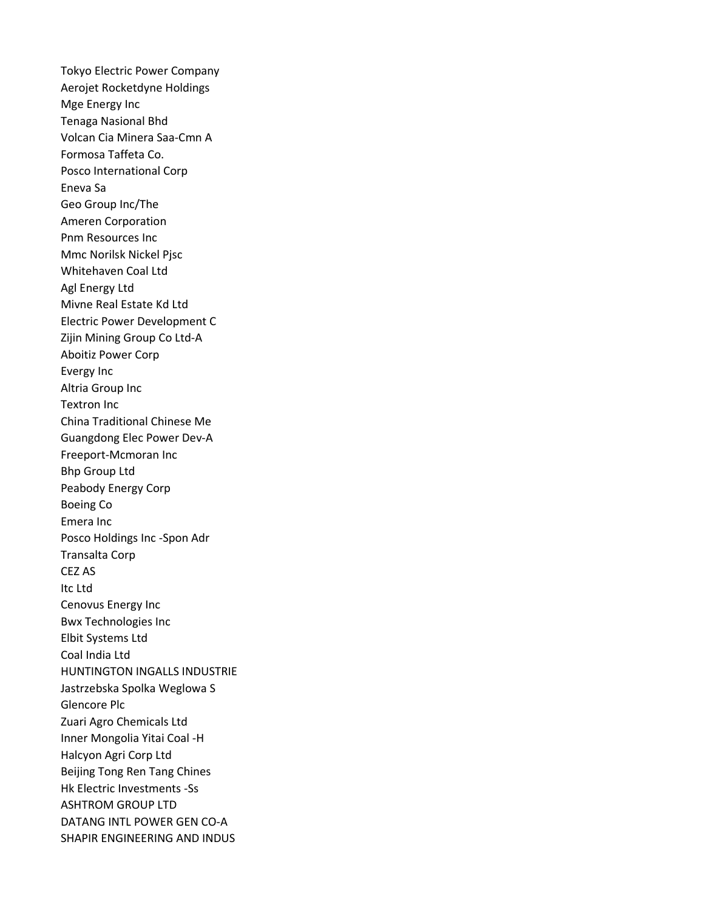Tokyo Electric Power Company Aerojet Rocketdyne Holdings Mge Energy Inc Tenaga Nasional Bhd Volcan Cia Minera Saa-Cmn A Formosa Taffeta Co. Posco International Corp Eneva Sa Geo Group Inc/The Ameren Corporation Pnm Resources Inc Mmc Norilsk Nickel Pjsc Whitehaven Coal Ltd Agl Energy Ltd Mivne Real Estate Kd Ltd Electric Power Development C Zijin Mining Group Co Ltd-A Aboitiz Power Corp Evergy Inc Altria Group Inc Textron Inc China Traditional Chinese Me Guangdong Elec Power Dev-A Freeport-Mcmoran Inc Bhp Group Ltd Peabody Energy Corp Boeing Co Emera Inc Posco Holdings Inc -Spon Adr Transalta Corp CEZ AS Itc Ltd Cenovus Energy Inc Bwx Technologies Inc Elbit Systems Ltd Coal India Ltd HUNTINGTON INGALLS INDUSTRIE Jastrzebska Spolka Weglowa S Glencore Plc Zuari Agro Chemicals Ltd Inner Mongolia Yitai Coal -H Halcyon Agri Corp Ltd Beijing Tong Ren Tang Chines Hk Electric Investments -Ss ASHTROM GROUP LTD DATANG INTL POWER GEN CO-A SHAPIR ENGINEERING AND INDUS